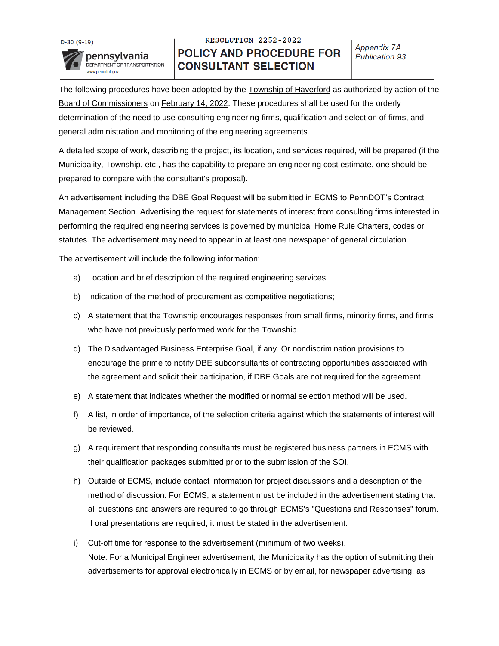

## RESOLUTION 2252-2022 **POLICY AND PROCEDURE FOR CONSULTANT SELECTION**

The following procedures have been adopted by the Township of Haverford as authorized by action of the Board of Commissioners on February 14, 2022. These procedures shall be used for the orderly determination of the need to use consulting engineering firms, qualification and selection of firms, and general administration and monitoring of the engineering agreements.

A detailed scope of work, describing the project, its location, and services required, will be prepared (if the Municipality, Township, etc., has the capability to prepare an engineering cost estimate, one should be prepared to compare with the consultant's proposal).

An advertisement including the DBE Goal Request will be submitted in ECMS to PennDOT's Contract Management Section. Advertising the request for statements of interest from consulting firms interested in performing the required engineering services is governed by municipal Home Rule Charters, codes or statutes. The advertisement may need to appear in at least one newspaper of general circulation.

The advertisement will include the following information:

- a) Location and brief description of the required engineering services.
- b) Indication of the method of procurement as competitive negotiations;
- c) A statement that the Township encourages responses from small firms, minority firms, and firms who have not previously performed work for the Township.
- d) The Disadvantaged Business Enterprise Goal, if any. Or nondiscrimination provisions to encourage the prime to notify DBE subconsultants of contracting opportunities associated with the agreement and solicit their participation, if DBE Goals are not required for the agreement.
- e) A statement that indicates whether the modified or normal selection method will be used.
- f) A list, in order of importance, of the selection criteria against which the statements of interest will be reviewed.
- g) A requirement that responding consultants must be registered business partners in ECMS with their qualification packages submitted prior to the submission of the SOI.
- h) Outside of ECMS, include contact information for project discussions and a description of the method of discussion. For ECMS, a statement must be included in the advertisement stating that all questions and answers are required to go through ECMS's "Questions and Responses" forum. If oral presentations are required, it must be stated in the advertisement.
- i) Cut-off time for response to the advertisement (minimum of two weeks). Note: For a Municipal Engineer advertisement, the Municipality has the option of submitting their advertisements for approval electronically in ECMS or by email, for newspaper advertising, as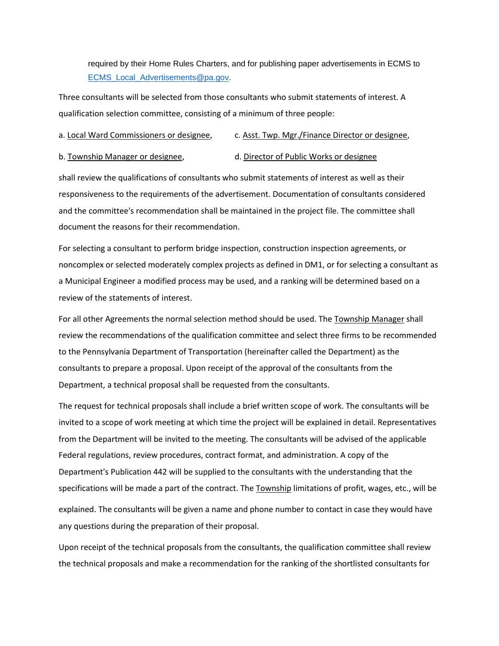required by their Home Rules Charters, and for publishing paper advertisements in ECMS to [ECMS\\_Local\\_Advertisements@pa.gov.](mailto:ECMS_Local_Advertisements@pa.gov)

Three consultants will be selected from those consultants who submit statements of interest. A qualification selection committee, consisting of a minimum of three people:

## a. Local Ward Commissioners or designee, c. Asst. Twp. Mgr./Finance Director or designee,

b. Township Manager or designee, d. Director of Public Works or designee

shall review the qualifications of consultants who submit statements of interest as well as their responsiveness to the requirements of the advertisement. Documentation of consultants considered and the committee's recommendation shall be maintained in the project file. The committee shall document the reasons for their recommendation.

For selecting a consultant to perform bridge inspection, construction inspection agreements, or noncomplex or selected moderately complex projects as defined in DM1, or for selecting a consultant as a Municipal Engineer a modified process may be used, and a ranking will be determined based on a review of the statements of interest.

For all other Agreements the normal selection method should be used. The Township Manager shall review the recommendations of the qualification committee and select three firms to be recommended to the Pennsylvania Department of Transportation (hereinafter called the Department) as the consultants to prepare a proposal. Upon receipt of the approval of the consultants from the Department, a technical proposal shall be requested from the consultants.

The request for technical proposals shall include a brief written scope of work. The consultants will be invited to a scope of work meeting at which time the project will be explained in detail. Representatives from the Department will be invited to the meeting. The consultants will be advised of the applicable Federal regulations, review procedures, contract format, and administration. A copy of the Department's Publication 442 will be supplied to the consultants with the understanding that the specifications will be made a part of the contract. The Township limitations of profit, wages, etc., will be explained. The consultants will be given a name and phone number to contact in case they would have any questions during the preparation of their proposal.

Upon receipt of the technical proposals from the consultants, the qualification committee shall review the technical proposals and make a recommendation for the ranking of the shortlisted consultants for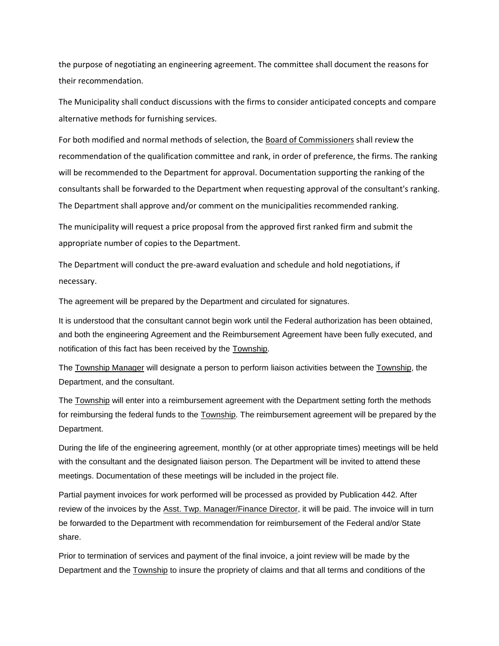the purpose of negotiating an engineering agreement. The committee shall document the reasons for their recommendation.

The Municipality shall conduct discussions with the firms to consider anticipated concepts and compare alternative methods for furnishing services.

For both modified and normal methods of selection, the Board of Commissioners shall review the recommendation of the qualification committee and rank, in order of preference, the firms. The ranking will be recommended to the Department for approval. Documentation supporting the ranking of the consultants shall be forwarded to the Department when requesting approval of the consultant's ranking. The Department shall approve and/or comment on the municipalities recommended ranking.

The municipality will request a price proposal from the approved first ranked firm and submit the appropriate number of copies to the Department.

The Department will conduct the pre-award evaluation and schedule and hold negotiations, if necessary.

The agreement will be prepared by the Department and circulated for signatures.

It is understood that the consultant cannot begin work until the Federal authorization has been obtained, and both the engineering Agreement and the Reimbursement Agreement have been fully executed, and notification of this fact has been received by the Township.

The Township Manager will designate a person to perform liaison activities between the Township, the Department, and the consultant.

The Township will enter into a reimbursement agreement with the Department setting forth the methods for reimbursing the federal funds to the Township. The reimbursement agreement will be prepared by the Department.

During the life of the engineering agreement, monthly (or at other appropriate times) meetings will be held with the consultant and the designated liaison person. The Department will be invited to attend these meetings. Documentation of these meetings will be included in the project file.

Partial payment invoices for work performed will be processed as provided by Publication 442. After review of the invoices by the Asst. Twp. Manager/Finance Director, it will be paid. The invoice will in turn be forwarded to the Department with recommendation for reimbursement of the Federal and/or State share.

Prior to termination of services and payment of the final invoice, a joint review will be made by the Department and the Township to insure the propriety of claims and that all terms and conditions of the